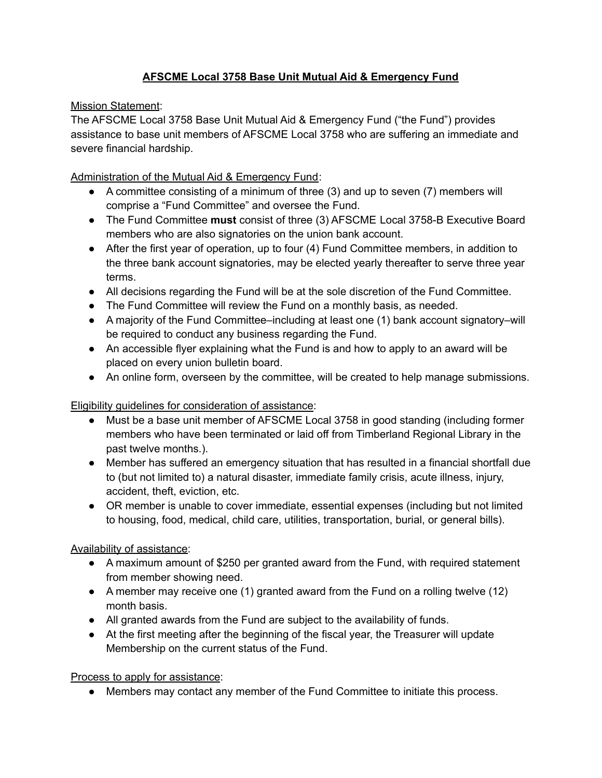## **AFSCME Local 3758 Base Unit Mutual Aid & Emergency Fund**

Mission Statement:

The AFSCME Local 3758 Base Unit Mutual Aid & Emergency Fund ("the Fund") provides assistance to base unit members of AFSCME Local 3758 who are suffering an immediate and severe financial hardship.

Administration of the Mutual Aid & Emergency Fund:

- A committee consisting of a minimum of three (3) and up to seven (7) members will comprise a "Fund Committee" and oversee the Fund.
- The Fund Committee **must** consist of three (3) AFSCME Local 3758-B Executive Board members who are also signatories on the union bank account.
- After the first year of operation, up to four (4) Fund Committee members, in addition to the three bank account signatories, may be elected yearly thereafter to serve three year terms.
- All decisions regarding the Fund will be at the sole discretion of the Fund Committee.
- The Fund Committee will review the Fund on a monthly basis, as needed.
- A majority of the Fund Committee–including at least one (1) bank account signatory–will be required to conduct any business regarding the Fund.
- An accessible flyer explaining what the Fund is and how to apply to an award will be placed on every union bulletin board.
- An online form, overseen by the committee, will be created to help manage submissions.

Eligibility guidelines for consideration of assistance:

- Must be a base unit member of AFSCME Local 3758 in good standing (including former members who have been terminated or laid off from Timberland Regional Library in the past twelve months.).
- Member has suffered an emergency situation that has resulted in a financial shortfall due to (but not limited to) a natural disaster, immediate family crisis, acute illness, injury, accident, theft, eviction, etc.
- OR member is unable to cover immediate, essential expenses (including but not limited to housing, food, medical, child care, utilities, transportation, burial, or general bills).

Availability of assistance:

- A maximum amount of \$250 per granted award from the Fund, with required statement from member showing need.
- A member may receive one (1) granted award from the Fund on a rolling twelve (12) month basis.
- All granted awards from the Fund are subject to the availability of funds.
- At the first meeting after the beginning of the fiscal year, the Treasurer will update Membership on the current status of the Fund.

Process to apply for assistance:

● Members may contact any member of the Fund Committee to initiate this process.